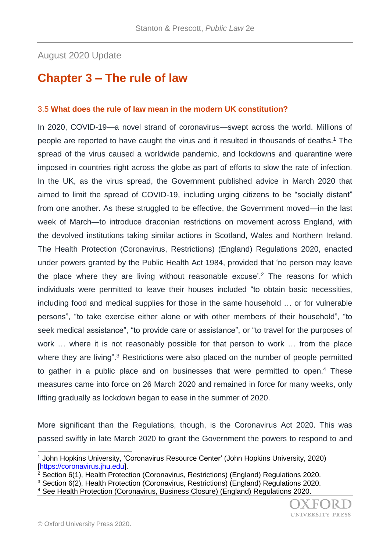## August 2020 Update

## **Chapter 3 – The rule of law**

## 3.5 **What does the rule of law mean in the modern UK constitution?**

In 2020, COVID-19—a novel strand of coronavirus—swept across the world. Millions of people are reported to have caught the virus and it resulted in thousands of deaths.<sup>1</sup> The spread of the virus caused a worldwide pandemic, and lockdowns and quarantine were imposed in countries right across the globe as part of efforts to slow the rate of infection. In the UK, as the virus spread, the Government published advice in March 2020 that aimed to limit the spread of COVID-19, including urging citizens to be "socially distant" from one another. As these struggled to be effective, the Government moved—in the last week of March—to introduce draconian restrictions on movement across England, with the devolved institutions taking similar actions in Scotland, Wales and Northern Ireland. The Health Protection (Coronavirus, Restrictions) (England) Regulations 2020, enacted under powers granted by the Public Health Act 1984, provided that 'no person may leave the place where they are living without reasonable excuse<sup>'. 2</sup> The reasons for which individuals were permitted to leave their houses included "to obtain basic necessities, including food and medical supplies for those in the same household … or for vulnerable persons", "to take exercise either alone or with other members of their household", "to seek medical assistance", "to provide care or assistance", or "to travel for the purposes of work … where it is not reasonably possible for that person to work … from the place where they are living".<sup>3</sup> Restrictions were also placed on the number of people permitted to gather in a public place and on businesses that were permitted to open.<sup>4</sup> These measures came into force on 26 March 2020 and remained in force for many weeks, only lifting gradually as lockdown began to ease in the summer of 2020.

More significant than the Regulations, though, is the Coronavirus Act 2020. This was passed swiftly in late March 2020 to grant the Government the powers to respond to and

l <sup>1</sup> John Hopkins University, 'Coronavirus Resource Center' (John Hopkins University, 2020) [\[https://coronavirus.jhu.edu\]](https://coronavirus.jhu.edu/).

 $2^2$  Section 6(1), Health Protection (Coronavirus, Restrictions) (England) Regulations 2020.

<sup>3</sup> Section 6(2), Health Protection (Coronavirus, Restrictions) (England) Regulations 2020.

<sup>4</sup> See Health Protection (Coronavirus, Business Closure) (England) Regulations 2020.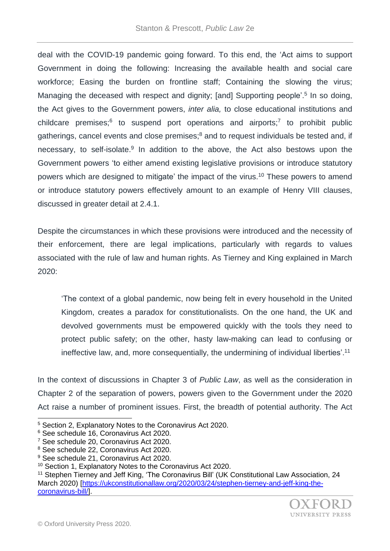deal with the COVID-19 pandemic going forward. To this end, the 'Act aims to support Government in doing the following: Increasing the available health and social care workforce; Easing the burden on frontline staff; Containing the slowing the virus; Managing the deceased with respect and dignity; [and] Supporting people'.<sup>5</sup> In so doing, the Act gives to the Government powers, *inter alia,* to close educational institutions and childcare premises; $6$  to suspend port operations and airports; $7$  to prohibit public gatherings, cancel events and close premises; $<sup>8</sup>$  and to request individuals be tested and, if</sup> necessary, to self-isolate.<sup>9</sup> In addition to the above, the Act also bestows upon the Government powers 'to either amend existing legislative provisions or introduce statutory powers which are designed to mitigate' the impact of the virus.<sup>10</sup> These powers to amend or introduce statutory powers effectively amount to an example of Henry VIII clauses, discussed in greater detail at 2.4.1.

Despite the circumstances in which these provisions were introduced and the necessity of their enforcement, there are legal implications, particularly with regards to values associated with the rule of law and human rights. As Tierney and King explained in March 2020:

'The context of a global pandemic, now being felt in every household in the United Kingdom, creates a paradox for constitutionalists. On the one hand, the UK and devolved governments must be empowered quickly with the tools they need to protect public safety; on the other, hasty law-making can lead to confusing or ineffective law, and, more consequentially, the undermining of individual liberties'.<sup>11</sup>

In the context of discussions in Chapter 3 of *Public Law*, as well as the consideration in Chapter 2 of the separation of powers, powers given to the Government under the 2020 Act raise a number of prominent issues. First, the breadth of potential authority. The Act

l

<sup>5</sup> Section 2, Explanatory Notes to the Coronavirus Act 2020.

<sup>6</sup> See schedule 16, Coronavirus Act 2020.

<sup>7</sup> See schedule 20, Coronavirus Act 2020.

<sup>8</sup> See schedule 22, Coronavirus Act 2020.

<sup>&</sup>lt;sup>9</sup> See schedule 21, Coronavirus Act 2020.

<sup>&</sup>lt;sup>10</sup> Section 1, Explanatory Notes to the Coronavirus Act 2020.

<sup>&</sup>lt;sup>11</sup> Stephen Tierney and Jeff King, 'The Coronavirus Bill' (UK Constitutional Law Association, 24 March 2020) [\[https://ukconstitutionallaw.org/2020/03/24/stephen-tierney-and-jeff-king-the](https://ukconstitutionallaw.org/2020/03/24/stephen-tierney-and-jeff-king-the-coronavirus-bill/)[coronavirus-bill/\]](https://ukconstitutionallaw.org/2020/03/24/stephen-tierney-and-jeff-king-the-coronavirus-bill/).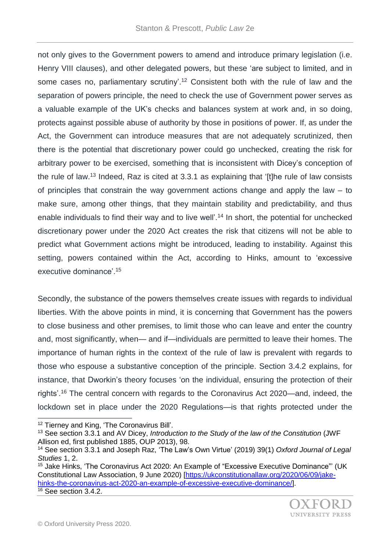not only gives to the Government powers to amend and introduce primary legislation (i.e. Henry VIII clauses), and other delegated powers, but these 'are subject to limited, and in some cases no, parliamentary scrutiny<sup>'12</sup> Consistent both with the rule of law and the separation of powers principle, the need to check the use of Government power serves as a valuable example of the UK's checks and balances system at work and, in so doing, protects against possible abuse of authority by those in positions of power. If, as under the Act, the Government can introduce measures that are not adequately scrutinized, then there is the potential that discretionary power could go unchecked, creating the risk for arbitrary power to be exercised, something that is inconsistent with Dicey's conception of the rule of law.<sup>13</sup> Indeed, Raz is cited at 3.3.1 as explaining that '[t]he rule of law consists of principles that constrain the way government actions change and apply the law – to make sure, among other things, that they maintain stability and predictability, and thus enable individuals to find their way and to live well'.<sup>14</sup> In short, the potential for unchecked discretionary power under the 2020 Act creates the risk that citizens will not be able to predict what Government actions might be introduced, leading to instability. Against this setting, powers contained within the Act, according to Hinks, amount to 'excessive executive dominance'.<sup>15</sup>

Secondly, the substance of the powers themselves create issues with regards to individual liberties. With the above points in mind, it is concerning that Government has the powers to close business and other premises, to limit those who can leave and enter the country and, most significantly, when— and if—individuals are permitted to leave their homes. The importance of human rights in the context of the rule of law is prevalent with regards to those who espouse a substantive conception of the principle. Section 3.4.2 explains, for instance, that Dworkin's theory focuses 'on the individual, ensuring the protection of their rights'.<sup>16</sup> The central concern with regards to the Coronavirus Act 2020—and, indeed, the lockdown set in place under the 2020 Regulations—is that rights protected under the

l

<sup>&</sup>lt;sup>12</sup> Tierney and King, 'The Coronavirus Bill'.

<sup>13</sup> See section 3.3.1 and AV Dicey, *Introduction to the Study of the law of the Constitution* (JWF Allison ed, first published 1885, OUP 2013), 98.

<sup>14</sup> See section 3.3.1 and Joseph Raz, 'The Law's Own Virtue' (2019) 39(1) *Oxford Journal of Legal Studies* 1, 2.

<sup>&</sup>lt;sup>15</sup> Jake Hinks, 'The Coronavirus Act 2020: An Example of "Excessive Executive Dominance"' (UK Constitutional Law Association, 9 June 2020) [\[https://ukconstitutionallaw.org/2020/06/09/jake](https://ukconstitutionallaw.org/2020/06/09/jake-hinks-the-coronavirus-act-2020-an-example-of-excessive-executive-dominance/)[hinks-the-coronavirus-act-2020-an-example-of-excessive-executive-dominance/\]](https://ukconstitutionallaw.org/2020/06/09/jake-hinks-the-coronavirus-act-2020-an-example-of-excessive-executive-dominance/). <sup>16</sup> See section 3.4.2.